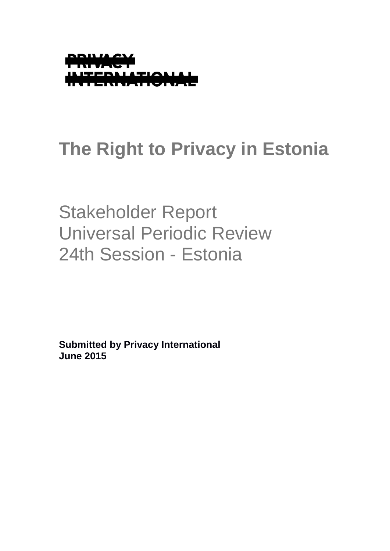

# **The Right to Privacy in Estonia**

Stakeholder Report Universal Periodic Review 24th Session - Estonia

**Submitted by Privacy International June 2015**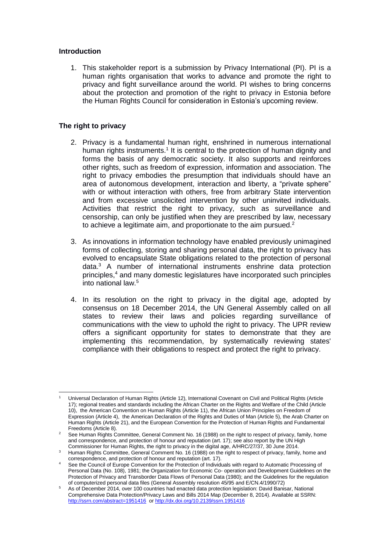## **Introduction**

1. This stakeholder report is a submission by Privacy International (PI). PI is a human rights organisation that works to advance and promote the right to privacy and fight surveillance around the world. PI wishes to bring concerns about the protection and promotion of the right to privacy in Estonia before the Human Rights Council for consideration in Estonia's upcoming review.

# **The right to privacy**

- 2. Privacy is a fundamental human right, enshrined in numerous international human rights instruments.<sup>1</sup> It is central to the protection of human dignity and forms the basis of any democratic society. It also supports and reinforces other rights, such as freedom of expression, information and association. The right to privacy embodies the presumption that individuals should have an area of autonomous development, interaction and liberty, a "private sphere" with or without interaction with others, free from arbitrary State intervention and from excessive unsolicited intervention by other uninvited individuals. Activities that restrict the right to privacy, such as surveillance and censorship, can only be justified when they are prescribed by law, necessary to achieve a legitimate aim, and proportionate to the aim pursued.<sup>2</sup>
- 3. As innovations in information technology have enabled previously unimagined forms of collecting, storing and sharing personal data, the right to privacy has evolved to encapsulate State obligations related to the protection of personal data.<sup>3</sup> A number of international instruments enshrine data protection principles,<sup>4</sup> and many domestic legislatures have incorporated such principles into national law.<sup>5</sup>
- 4. In its resolution on the right to privacy in the digital age, adopted by consensus on 18 December 2014, the UN General Assembly called on all states to review their laws and policies regarding surveillance of communications with the view to uphold the right to privacy. The UPR review offers a significant opportunity for states to demonstrate that they are implementing this recommendation, by systematically reviewing states' compliance with their obligations to respect and protect the right to privacy.

<sup>-</sup><sup>1</sup> Universal Declaration of Human Rights (Article 12), International Covenant on Civil and Political Rights (Article 17); regional treaties and standards including the African Charter on the Rights and Welfare of the Child (Article 10), the American Convention on Human Rights (Article 11), the African Union Principles on Freedom of Expression (Article 4), the American Declaration of the Rights and Duties of Man (Article 5), the Arab Charter on Human Rights (Article 21), and the European Convention for the Protection of Human Rights and Fundamental Freedoms (Article 8).

<sup>&</sup>lt;sup>2</sup> See Human Rights Committee, General Comment No. 16 (1988) on the right to respect of privacy, family, home and correspondence, and protection of honour and reputation (art. 17); see also report by the UN High Commissioner for Human Rights, the right to privacy in the digital age, A/HRC/27/37, 30 June 2014.

<sup>&</sup>lt;sup>3</sup> Human Rights Committee, General Comment No. 16 (1988) on the right to respect of privacy, family, home and correspondence, and protection of honour and reputation (art. 17).

Correspondence, and protection of Individual epotection of Individuals with regard to Automatic Processing of<br>4 See the Council of Europe Convention for the Protection of Individuals with regard to Automatic Processing of Personal Data (No. 108), 1981; the Organization for Economic Co- operation and Development Guidelines on the Protection of Privacy and Transborder Data Flows of Personal Data (1980); and the Guidelines for the regulation of computerized personal data files (General Assembly resolution 45/95 and E/CN.4/1990/72)

<sup>5</sup> As of December 2014, over 100 countries had enacted data protection legislation: David Banisar, National Comprehensive Data Protection/Privacy Laws and Bills 2014 Map (December 8, 2014). Available at SSRN: <http://ssrn.com/abstract=1951416>or<http://dx.doi.org/10.2139/ssrn.1951416>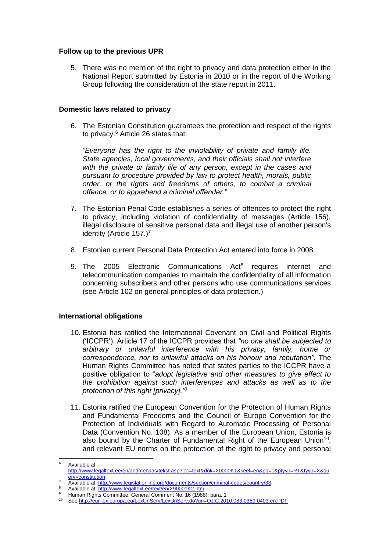## **Follow up to the previous UPR**

5. There was no mention of the right to privacy and data protection either in the National Report submitted by Estonia in 2010 or in the report of the Working Group following the consideration of the state report in 2011.

## **Domestic laws related to privacy**

6. The Estonian Constitution guarantees the protection and respect of the rights to privacy.<sup>6</sup> Article 26 states that:

*"Everyone has the right to the inviolability of private and family life. State agencies, local governments, and their officials shall not interfere with the private or family life of any person, except in the cases and pursuant to procedure provided by law to protect health, morals, public order, or the rights and freedoms of others, to combat a criminal offence, or to apprehend a criminal offender."*

- 7. The Estonian Penal Code establishes a series of offences to protect the right to privacy, including violation of confidentiality of messages (Article 156), illegal disclosure of sensitive personal data and illegal use of another person's identity (Article 157.)<sup>7</sup>
- 8. Estonian current Personal Data Protection Act entered into force in 2008.
- 9. The 2005 Electronic Communications Act<sup>8</sup> requires internet and telecommunication companies to maintain the confidentiality of all information concerning subscribers and other persons who use communications services (see Article 102 on general principles of data protection.)

## **International obligations**

 $6^{\circ}$ 

- 10. Estonia has ratified the International Covenant on Civil and Political Rights ('ICCPR'). Article 17 of the ICCPR provides that *"no one shall be subjected to arbitrary or unlawful interference with his privacy, family, home or correspondence, nor to unlawful attacks on his honour and reputation"*. The Human Rights Committee has noted that states parties to the ICCPR have a positive obligation to "*adopt legislative and other measures to give effect to the prohibition against such interferences and attacks as well as to the protection of this right [privacy]."* 9
- 11. Estonia ratified the European Convention for the Protection of Human Rights and Fundamental Freedoms and the Council of Europe Convention for the Protection of Individuals with Regard to Automatic Processing of Personal Data (Convention No. 108). As a member of the European Union, Estonia is also bound by the Charter of Fundamental Right of the European Union<sup>10</sup>, and relevant EU norms on the protection of the right to privacy and personal

<sup>6</sup> Available at: [http://www.legaltext.ee/en/andmebaas/tekst.asp?loc=text&dok=X0000K1&keel=en&pg=1&ptyyp=RT&tyyp=X&qu](http://www.legaltext.ee/en/andmebaas/tekst.asp?loc=text&dok=X0000K1&keel=en&pg=1&ptyyp=RT&tyyp=X&query=constitution) [ery=constitution](http://www.legaltext.ee/en/andmebaas/tekst.asp?loc=text&dok=X0000K1&keel=en&pg=1&ptyyp=RT&tyyp=X&query=constitution)

Available at:<http://www.legislationline.org/documents/section/criminal-codes/country/33>

<sup>8</sup> Available at:<http://www.legaltext.ee/text/en/X90001K2.htm>

<sup>&</sup>lt;sup>9</sup> Human Rights Committee, General Comment No. 16 (1988), para. 1

<sup>10</sup> Se[e http://eur-lex.europa.eu/LexUriServ/LexUriServ.do?uri=OJ:C:2010:083:0389:0403:en:PDF](http://eur-lex.europa.eu/LexUriServ/LexUriServ.do?uri=OJ:C:2010:083:0389:0403:en:PDF)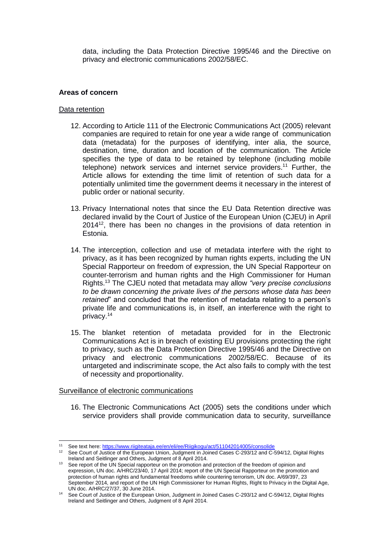data, including the Data Protection Directive 1995/46 and the Directive on privacy and electronic communications 2002/58/EC.

#### **Areas of concern**

#### Data retention

- 12. According to Article 111 of the Electronic Communications Act (2005) relevant companies are required to retain for one year a wide range of communication data (metadata) for the purposes of identifying, inter alia, the source, destination, time, duration and location of the communication. The Article specifies the type of data to be retained by telephone (including mobile telephone) network services and internet service providers.<sup>11</sup> Further, the Article allows for extending the time limit of retention of such data for a potentially unlimited time the government deems it necessary in the interest of public order or national security.
- 13. Privacy International notes that since the EU Data Retention directive was declared invalid by the Court of Justice of the European Union (CJEU) in April 2014<sup>12</sup>, there has been no changes in the provisions of data retention in Estonia.
- 14. The interception, collection and use of metadata interfere with the right to privacy, as it has been recognized by human rights experts, including the UN Special Rapporteur on freedom of expression, the UN Special Rapporteur on counter-terrorism and human rights and the High Commissioner for Human Rights.<sup>13</sup> The CJEU noted that metadata may allow *"very precise conclusions to be drawn concerning the private lives of the persons whose data has been retained*" and concluded that the retention of metadata relating to a person's private life and communications is, in itself, an interference with the right to privacy.<sup>14</sup>
- 15. The blanket retention of metadata provided for in the Electronic Communications Act is in breach of existing EU provisions protecting the right to privacy, such as the Data Protection Directive 1995/46 and the Directive on privacy and electronic communications 2002/58/EC. Because of its untargeted and indiscriminate scope, the Act also fails to comply with the test of necessity and proportionality.

#### Surveillance of electronic communications

16. The Electronic Communications Act (2005) sets the conditions under which service providers shall provide communication data to security, surveillance

 $11<sub>1</sub>$ <sup>11</sup> See text here[: https://www.riigiteataja.ee/en/eli/ee/Riigikogu/act/511042014005/consolide](https://www.riigiteataja.ee/en/eli/ee/Riigikogu/act/511042014005/consolide)

<sup>&</sup>lt;sup>12</sup> See Court of Justice of the European Union, Judgment in Joined Cases C-293/12 and C-594/12, Digital Rights Ireland and Seitlinger and Others, Judgment of 8 April 2014.

<sup>&</sup>lt;sup>13</sup> See report of the UN Special rapporteur on the promotion and protection of the freedom of opinion and expression, UN doc. A/HRC/23/40, 17 April 2014; report of the UN Special Rapporteur on the promotion and protection of human rights and fundamental freedoms while countering terrorism, UN doc. A/69/397, 23 September 2014, and report of the UN High Commissioner for Human Rights, Right to Privacy in the Digital Age, UN doc. A/HRC/27/37, 30 June 2014.

<sup>14</sup> See Court of Justice of the European Union, Judgment in Joined Cases C-293/12 and C-594/12, Digital Rights Ireland and Seitlinger and Others, Judgment of 8 April 2014.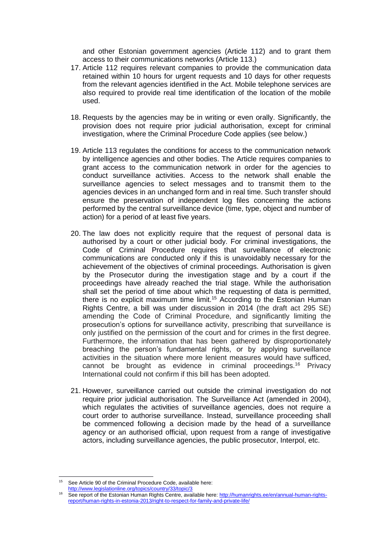and other Estonian government agencies (Article 112) and to grant them access to their communications networks (Article 113.)

- 17. Article 112 requires relevant companies to provide the communication data retained within 10 hours for urgent requests and 10 days for other requests from the relevant agencies identified in the Act. Mobile telephone services are also required to provide real time identification of the location of the mobile used.
- 18. Requests by the agencies may be in writing or even orally. Significantly, the provision does not require prior judicial authorisation, except for criminal investigation, where the Criminal Procedure Code applies (see below.)
- 19. Article 113 regulates the conditions for access to the communication network by intelligence agencies and other bodies. The Article requires companies to grant access to the communication network in order for the agencies to conduct surveillance activities. Access to the network shall enable the surveillance agencies to select messages and to transmit them to the agencies devices in an unchanged form and in real time. Such transfer should ensure the preservation of independent log files concerning the actions performed by the central surveillance device (time, type, object and number of action) for a period of at least five years.
- 20. The law does not explicitly require that the request of personal data is authorised by a court or other judicial body. For criminal investigations, the Code of Criminal Procedure requires that surveillance of electronic communications are conducted only if this is unavoidably necessary for the achievement of the objectives of criminal proceedings. Authorisation is given by the Prosecutor during the investigation stage and by a court if the proceedings have already reached the trial stage. While the authorisation shall set the period of time about which the requesting of data is permitted, there is no explicit maximum time limit.<sup>15</sup> According to the Estonian Human Rights Centre, a bill was under discussion in 2014 (the draft act 295 SE) amending the Code of Criminal Procedure, and significantly limiting the prosecution's options for surveillance activity, prescribing that surveillance is only justified on the permission of the court and for crimes in the first degree. Furthermore, the information that has been gathered by disproportionately breaching the person's fundamental rights, or by applying surveillance activities in the situation where more lenient measures would have sufficed, cannot be brought as evidence in criminal proceedings.<sup>16</sup> Privacy International could not confirm if this bill has been adopted.
- 21. However, surveillance carried out outside the criminal investigation do not require prior judicial authorisation. The Surveillance Act (amended in 2004), which regulates the activities of surveillance agencies, does not require a court order to authorise surveillance. Instead, surveillance proceeding shall be commenced following a decision made by the head of a surveillance agency or an authorised official, upon request from a range of investigative actors, including surveillance agencies, the public prosecutor, Interpol, etc.

 $15$ See Article 90 of the Criminal Procedure Code, available here:

<http://www.legislationline.org/topics/country/33/topic/3>

<sup>16</sup> See report of the Estonian Human Rights Centre, available here: [http://humanrights.ee/en/annual-human-rights](http://humanrights.ee/en/annual-human-rights-report/human-rights-in-estonia-2013/right-to-respect-for-family-and-private-life/)[report/human-rights-in-estonia-2013/right-to-respect-for-family-and-private-life/](http://humanrights.ee/en/annual-human-rights-report/human-rights-in-estonia-2013/right-to-respect-for-family-and-private-life/)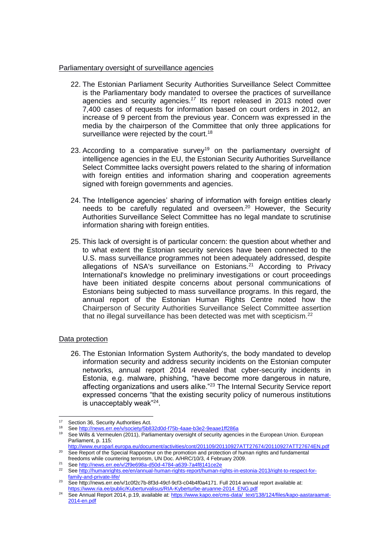#### Parliamentary oversight of surveillance agencies

- 22. The Estonian Parliament Security Authorities Surveillance Select Committee is the Parliamentary body mandated to oversee the practices of surveillance agencies and security agencies.*<sup>17</sup>* Its report released in 2013 noted over 7,400 cases of requests for information based on court orders in 2012, an increase of 9 percent from the previous year. Concern was expressed in the media by the chairperson of the Committee that only three applications for surveillance were rejected by the court.<sup>18</sup>
- 23. According to a comparative survey<sup>19</sup> on the parliamentary oversight of intelligence agencies in the EU, the Estonian Security Authorities Surveillance Select Committee lacks oversight powers related to the sharing of information with foreign entities and information sharing and cooperation agreements signed with foreign governments and agencies.
- 24. The Intelligence agencies' sharing of information with foreign entities clearly needs to be carefully regulated and overseen.<sup>20</sup> However, the Security Authorities Surveillance Select Committee has no legal mandate to scrutinise information sharing with foreign entities.
- 25. This lack of oversight is of particular concern: the question about whether and to what extent the Estonian security services have been connected to the U.S. mass surveillance programmes not been adequately addressed, despite allegations of NSA's surveillance on Estonians.<sup>21</sup> According to Privacy International's knowledge no preliminary investigations or court proceedings have been initiated despite concerns about personal communications of Estonians being subjected to mass surveillance programs. In this regard, the annual report of the Estonian Human Rights Centre noted how the Chairperson of Security Authorities Surveillance Select Committee assertion that no illegal surveillance has been detected was met with scepticism.<sup>22</sup>

## Data protection

26. The Estonian Information System Authority's, the body mandated to develop information security and address security incidents on the Estonian computer networks, annual report 2014 revealed that cyber-security incidents in Estonia, e.g. malware, phishing, "have become more dangerous in nature, affecting organizations and users alike."<sup>23</sup> The Internal Security Service report expressed concerns "that the existing security policy of numerous institutions is unacceptably weak"<sup>24</sup>.

 $17$ Section 36, Security Authorities Act.

<sup>18</sup> Se[e http://news.err.ee/v/society/5b832d0d-f75b-4aae-b3e2-9eaae1ff286a](http://news.err.ee/v/society/5b832d0d-f75b-4aae-b3e2-9eaae1ff286a)

<sup>19</sup> See Wills & Vermeulen (2011), Parliamentary oversight of security agencies in the European Union. European Parliament, p. 115:

<http://www.europarl.europa.eu/document/activities/cont/201109/20110927ATT27674/20110927ATT27674EN.pdf> <sup>20</sup> See Report of the Special Rapporteur on the promotion and protection of human rights and fundamental

freedoms while countering terrorism, UN Doc. A/HRC/10/3, 4 February 2009.

<sup>21</sup> Se[e http://news.err.ee/v/2f9e698a-d50d-4784-a639-7a4f8141ce2e](http://news.err.ee/v/2f9e698a-d50d-4784-a639-7a4f8141ce2e)<br>22 See http://humanrights.ee/en/annual-human-rights-report/human-rig

Se[e http://humanrights.ee/en/annual-human-rights-report/human-rights-in-estonia-2013/right-to-respect-for](http://humanrights.ee/en/annual-human-rights-report/human-rights-in-estonia-2013/right-to-respect-for-family-and-private-life/)[family-and-private-life/](http://humanrights.ee/en/annual-human-rights-report/human-rights-in-estonia-2013/right-to-respect-for-family-and-private-life/)

<sup>&</sup>lt;sup>23</sup> Se[e http://news.err.ee/v/1c0f2c7b-8f3d-49cf-9cf3-c04b4f0a4171.](http://news.err.ee/v/1c0f2c7b-8f3d-49cf-9cf3-c04b4f0a4171) Full 2014 annual report available at: [https://www.ria.ee/public/Kuberturvalisus/RIA-Kyberturbe-aruanne-2014\\_ENG.pdf](https://www.ria.ee/public/Kuberturvalisus/RIA-Kyberturbe-aruanne-2014_ENG.pdf)

<sup>24</sup> See Annual Report 2014, p.19, available at: [https://www.kapo.ee/cms-data/\\_text/138/124/files/kapo-aastaraamat-](https://www.kapo.ee/cms-data/_text/138/124/files/kapo-aastaraamat-2014-en.pdf)[2014-en.pdf](https://www.kapo.ee/cms-data/_text/138/124/files/kapo-aastaraamat-2014-en.pdf)